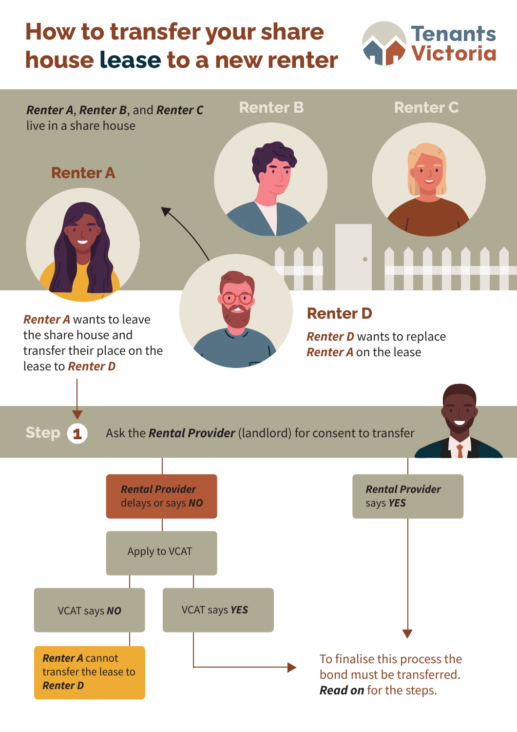## **How to transfer your share house lease to a new renter**